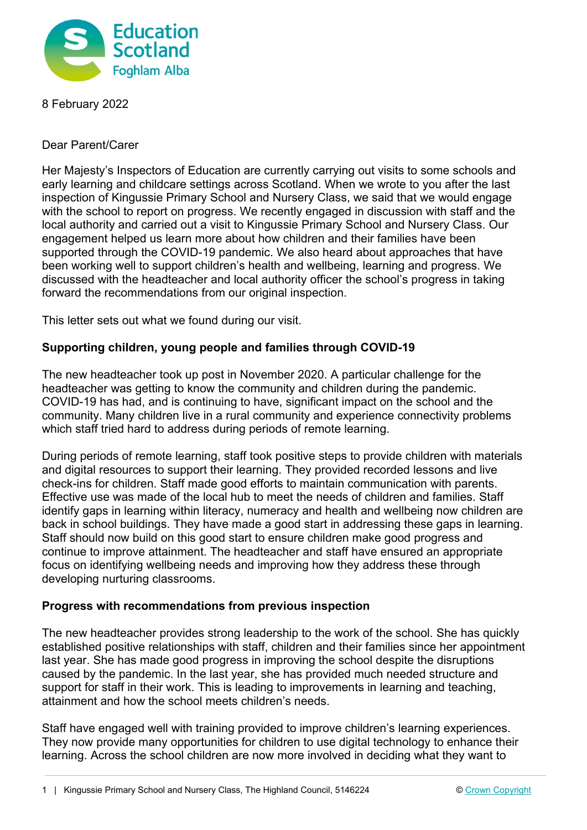

8 February 2022

Dear Parent/Carer

Her Majesty's Inspectors of Education are currently carrying out visits to some schools and early learning and childcare settings across Scotland. When we wrote to you after the last inspection of Kingussie Primary School and Nursery Class, we said that we would engage with the school to report on progress. We recently engaged in discussion with staff and the local authority and carried out a visit to Kingussie Primary School and Nursery Class. Our engagement helped us learn more about how children and their families have been supported through the COVID-19 pandemic. We also heard about approaches that have been working well to support children's health and wellbeing, learning and progress. We discussed with the headteacher and local authority officer the school's progress in taking forward the recommendations from our original inspection.

This letter sets out what we found during our visit.

## **Supporting children, young people and families through COVID-19**

The new headteacher took up post in November 2020. A particular challenge for the headteacher was getting to know the community and children during the pandemic. COVID-19 has had, and is continuing to have, significant impact on the school and the community. Many children live in a rural community and experience connectivity problems which staff tried hard to address during periods of remote learning.

During periods of remote learning, staff took positive steps to provide children with materials and digital resources to support their learning. They provided recorded lessons and live check-ins for children. Staff made good efforts to maintain communication with parents. Effective use was made of the local hub to meet the needs of children and families. Staff identify gaps in learning within literacy, numeracy and health and wellbeing now children are back in school buildings. They have made a good start in addressing these gaps in learning. Staff should now build on this good start to ensure children make good progress and continue to improve attainment. The headteacher and staff have ensured an appropriate focus on identifying wellbeing needs and improving how they address these through developing nurturing classrooms.

## **Progress with recommendations from previous inspection**

The new headteacher provides strong leadership to the work of the school. She has quickly established positive relationships with staff, children and their families since her appointment last year. She has made good progress in improving the school despite the disruptions caused by the pandemic. In the last year, she has provided much needed structure and support for staff in their work. This is leading to improvements in learning and teaching, attainment and how the school meets children's needs.

Staff have engaged well with training provided to improve children's learning experiences. They now provide many opportunities for children to use digital technology to enhance their learning. Across the school children are now more involved in deciding what they want to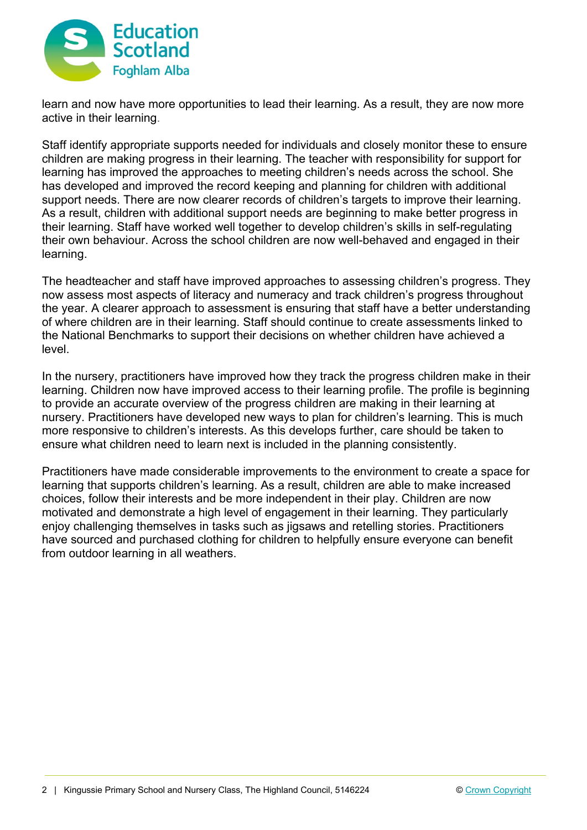

learn and now have more opportunities to lead their learning. As a result, they are now more active in their learning.

Staff identify appropriate supports needed for individuals and closely monitor these to ensure children are making progress in their learning. The teacher with responsibility for support for learning has improved the approaches to meeting children's needs across the school. She has developed and improved the record keeping and planning for children with additional support needs. There are now clearer records of children's targets to improve their learning. As a result, children with additional support needs are beginning to make better progress in their learning. Staff have worked well together to develop children's skills in self-regulating their own behaviour. Across the school children are now well-behaved and engaged in their learning.

The headteacher and staff have improved approaches to assessing children's progress. They now assess most aspects of literacy and numeracy and track children's progress throughout the year. A clearer approach to assessment is ensuring that staff have a better understanding of where children are in their learning. Staff should continue to create assessments linked to the National Benchmarks to support their decisions on whether children have achieved a level.

In the nursery, practitioners have improved how they track the progress children make in their learning. Children now have improved access to their learning profile. The profile is beginning to provide an accurate overview of the progress children are making in their learning at nursery. Practitioners have developed new ways to plan for children's learning. This is much more responsive to children's interests. As this develops further, care should be taken to ensure what children need to learn next is included in the planning consistently.

Practitioners have made considerable improvements to the environment to create a space for learning that supports children's learning. As a result, children are able to make increased choices, follow their interests and be more independent in their play. Children are now motivated and demonstrate a high level of engagement in their learning. They particularly enjoy challenging themselves in tasks such as jigsaws and retelling stories. Practitioners have sourced and purchased clothing for children to helpfully ensure everyone can benefit from outdoor learning in all weathers.